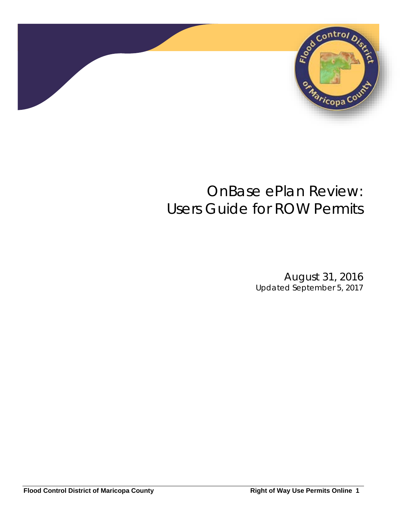

# OnBase ePlan Review: *Users Guide for ROW Permits*

August 31, 2016 *Updated September 5, 2017*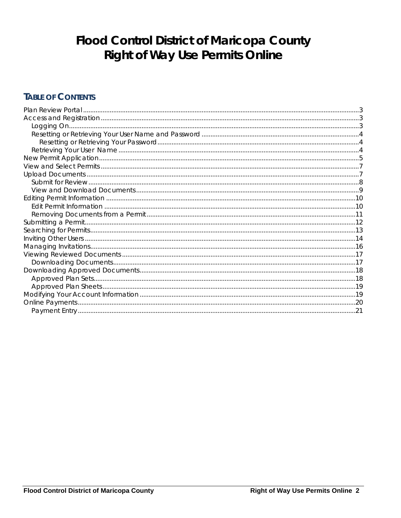# **Flood Control District of Maricopa County Right of Way Use Permits Online**

## **TABLE OF CONTENTS**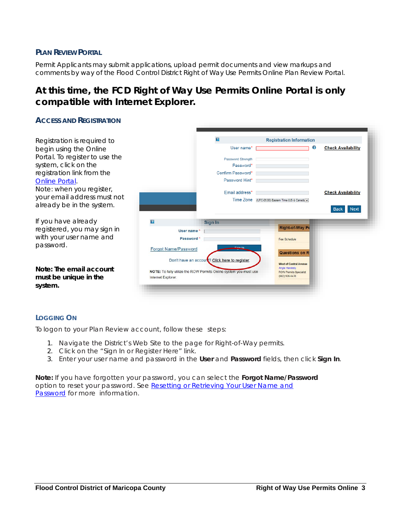#### <span id="page-2-0"></span>**PLAN REVIEW PORTAL**

Permit Applicants may submit applications, upload permit documents and view markups and comments by way of the Flood Control District Right of Way Use Permits Online Plan Review Portal.

### **At this time, the FCD Right of Way Use Permits Online Portal is only compatible with Internet Explorer.**

#### <span id="page-2-1"></span>**ACCESS AND REGISTRATION**  $\overline{\mathbf{z}}$ **Registration Information** Registration is required to User name\* F **Check Availability**  $\mathbf{f}$ begin using the Online Portal. To register to use the Password Strength system, click on the Password\* I Confirm Password\* registration link from the Password Hint\* [Online Portal.](http://fcd.maricopa.gov/ROWPermits/signIn/signIn/) Note: when you register, Email address\* **Check Availability** your email address must not Time Zone (UTC-05:00) Eastern Time (US & Canada already be in the system. If you have already  $\overline{\mathbf{r}}$ Sian In **Right-of-Way Pe** registered, you may sign in User name \* | with your user name and Password<sup>\*</sup> Fee Schedule password. Forgot Name/Password Questions on R Don't have an accourt? Click here to register **West of Central Avenue** *Note:* **The email account**  Angie Hardesty<br>ROW Permits Specialist NOTE: To fully utilize the ROW Permits Online system you must use (602) 506-5476 **must be unique in the**  Internet Explorer **system.**

#### <span id="page-2-2"></span>**LOGGING ON**

To logon to your Plan Review account, follow these steps:

- 1. Navigate the District's Web Site to the page for Right-of-Way permits.
- 2. Click on the "Sign In or Register Here" link.
- 3. Enter your user name and password in the **User** and **Password** fields, then click **Sign In**.

<span id="page-2-3"></span>**Note:** If you have forgotten your password, you can select the **Forgot Name/Password**  option to reset your password. See [Resetting or Retrieving Your User Name and](#page-2-3)  [Password](#page-2-3) for more information.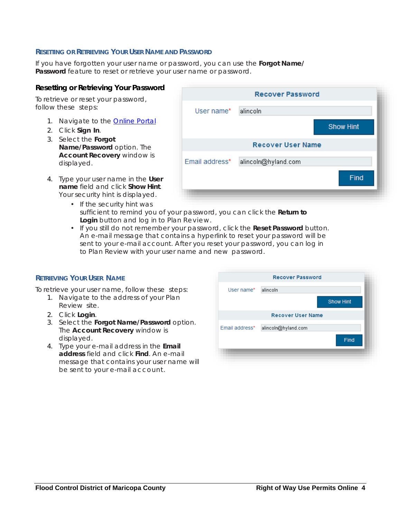#### <span id="page-3-0"></span>**RESETTING OR RETRIEVING YOUR USER NAME AND PASSWORD**

If you have forgotten your user name or password, you can use the **Forgot Name/ Password** feature to reset or retrieve your user name or password.

#### <span id="page-3-1"></span>**Resetting or Retrieving Your Password**

To retrieve or reset your password, follow these steps:

- 1. Navigate to the **Online Portal**
- 2. Click **Sign In**.
- 3. Select the **Forgot Name/Password** option. The **Account Recovery** window is displayed.
- 4. Type your user name in the **User name** field and click **Show Hint**. Your security hint is displayed.
- **Recover Password** User name\* alincoln **Show Hint Recover User Name** Email address\* alincoln@hyland.com Find
- If the security hint was sufficient to remind you of your password, you can click the **Return to Login** button and log in to Plan Review.
- If you still do not remember your password, click the **Reset Password** button. An e-mail message that contains a hyperlink to reset your password will be sent to your e-mail account. After you reset your password, you can log in to Plan Review with your user name and new password.

#### <span id="page-3-2"></span>**RETRIEVING YOUR USER NAME**

To retrieve your user name, follow these steps:

- 1. Navigate to the address of your Plan Review site.
- 2. Click **Login**.
- 3. Select the **Forgot Name/Password** option. The **Account Recovery** window is displayed.
- 4. Type your e-mail address in the **Email address** field and click **Find**. An e-mail message that contains your user name will be sent to your e-mail account.

|                | <b>Recover Password</b>  |                  |
|----------------|--------------------------|------------------|
| User name*     | alincoln                 |                  |
|                |                          | <b>Show Hint</b> |
|                | <b>Recover User Name</b> |                  |
| Email address* | alincoln@hyland.com      |                  |
|                |                          | Find             |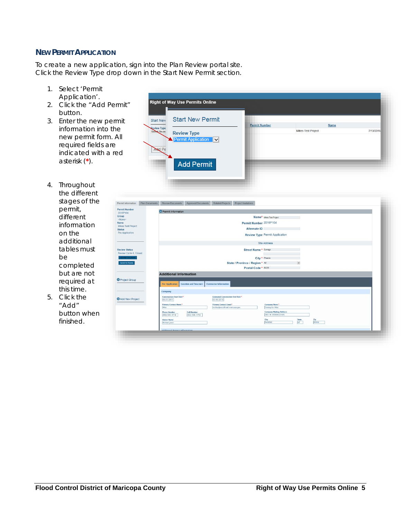#### <span id="page-4-0"></span>**NEW PERMIT APPLICATION**

To create a new application, sign into the Plan Review portal site. Click the Review Type drop down in the Start New Permit section.

- 1. Select 'Permit Application'.
- 2. Click the "Add Permit" button.
- 3. Enter the new permit information into the new permit form. All required fields are indicated with a red asterisk (**\***).
- 4. Throughout the different stages of the permit, different information on the additional tables must be completed but are not required at this time.
- 5. Click the "Add" button when finished.

| <b>Start New Permit</b> |                                                               |                      |                    |
|-------------------------|---------------------------------------------------------------|----------------------|--------------------|
|                         |                                                               | Name                 |                    |
|                         |                                                               |                      | 7/13/2016          |
|                         |                                                               |                      |                    |
|                         |                                                               |                      |                    |
|                         |                                                               |                      |                    |
|                         |                                                               |                      |                    |
|                         |                                                               |                      |                    |
|                         |                                                               |                      |                    |
|                         |                                                               |                      |                    |
|                         |                                                               |                      |                    |
|                         |                                                               |                      |                    |
|                         | <b>Review Type</b><br>Permit Application<br><b>Add Permit</b> | <b>Permit Number</b> | Mikes Test Project |

| <b>Permit Number</b><br>2016P104    | Permit Information                            |                               |                                                                 |                                                       |                                          |             |              |  |
|-------------------------------------|-----------------------------------------------|-------------------------------|-----------------------------------------------------------------|-------------------------------------------------------|------------------------------------------|-------------|--------------|--|
| Group<br><none></none>              |                                               |                               |                                                                 |                                                       | Name <sup>*</sup> Mikes Test Project     |             |              |  |
| <b>Name</b>                         |                                               |                               |                                                                 | Permit Number 2016P104                                |                                          |             |              |  |
| Mikes Test Project<br><b>Status</b> |                                               |                               |                                                                 | <b>Alternate ID</b>                                   |                                          |             |              |  |
| Pre-Application                     |                                               |                               |                                                                 |                                                       | <b>Review Type Permit Application</b>    |             |              |  |
|                                     |                                               |                               |                                                                 |                                                       | <b>Site Address</b>                      |             |              |  |
| <b>Review Status</b>                |                                               |                               |                                                                 | Street Name * Durnago                                 |                                          |             |              |  |
| Review Cycle 4, Closed              |                                               |                               |                                                                 |                                                       |                                          |             |              |  |
| <b>Idd Plan Documents</b>           |                                               |                               |                                                                 |                                                       | City * Phoenix                           |             |              |  |
| <b>Submit for Review</b>            |                                               |                               |                                                                 | State / Province / Region * AZ<br>Postal Code * 86339 |                                          | $\vee$      |              |  |
|                                     |                                               |                               |                                                                 |                                                       |                                          |             |              |  |
|                                     | <b>Additional Information</b>                 |                               |                                                                 |                                                       |                                          |             |              |  |
| Project Group                       | Pre-Application                               | <b>Location and Structure</b> | <b>Contractor Information</b>                                   |                                                       |                                          |             |              |  |
|                                     | Company                                       |                               |                                                                 |                                                       |                                          |             |              |  |
| Add New Project                     | <b>Construction Start Date*</b><br>03/03/2017 |                               | <b>Estimated Construction End Date*</b><br>03/03/2019           |                                                       |                                          |             |              |  |
|                                     | <b>Primary Contact Name*</b><br>Mike          |                               | <b>Primary Contact Email*</b><br>michaeljones@mail.maricopa.gov |                                                       | Company Name*<br><b>Testing for Mike</b> |             |              |  |
|                                     | <b>Phone Number</b>                           | <b>Cell Number</b>            |                                                                 |                                                       | <b>Company Mailing Address</b>           |             |              |  |
|                                     | (602) 506-4718                                | (602) 506-4719                |                                                                 |                                                       | 2801 W. DURANGO AVE                      |             |              |  |
|                                     | <b>Owner Name</b><br>Michael Jones            |                               |                                                                 |                                                       | City<br>PHOENIX                          | State<br>AZ | Zip<br>85008 |  |
|                                     |                                               |                               |                                                                 |                                                       |                                          |             |              |  |
|                                     |                                               |                               |                                                                 |                                                       |                                          |             |              |  |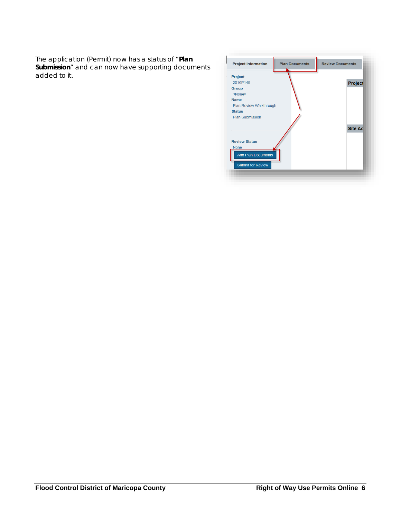The application (Permit) now has a status of "**Plan Submission**" and can now have supporting documents added to it.

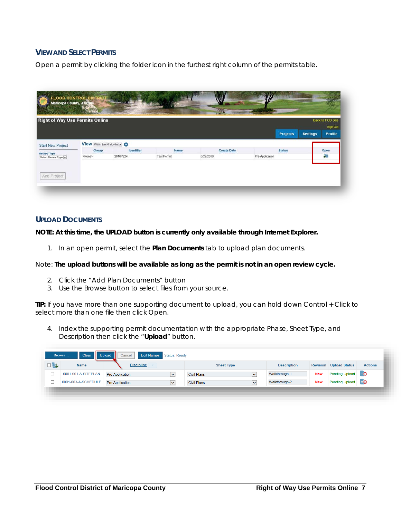### <span id="page-6-0"></span>**VIEW AND SELECT PERMITS**

Open a permit by clicking the folder icon in the furthest right column of the permits table.

|                          | <b>Right of Way Use Permits Online</b> |            |                    | Г.                 |                 |                 |                 | Back to FCD Site    |
|--------------------------|----------------------------------------|------------|--------------------|--------------------|-----------------|-----------------|-----------------|---------------------|
|                          |                                        |            |                    |                    |                 | <b>Projects</b> | <b>Settings</b> | Sign Out<br>Profile |
| <b>Start New Project</b> | View Within Last 6 Months - O          |            |                    |                    |                 |                 |                 |                     |
| <b>Review Type</b>       | Group                                  | Identifier | Name               | <b>Create Date</b> |                 | <b>Status</b>   |                 | Open                |
| Select Review Type       | <none></none>                          | 2016P224   | <b>Test Permit</b> | 6/22/2016          | Pre-Application |                 |                 | <b>Sep</b>          |
|                          |                                        |            |                    |                    |                 |                 |                 |                     |
| Add Project              |                                        |            |                    |                    |                 |                 |                 |                     |

#### <span id="page-6-1"></span>**UPLOAD DOCUMENTS**

**NOTE: At this time, the UPLOAD button is currently only available through Internet Explorer.**

1. In an open permit, select the **Plan Documents** tab to upload plan documents.

#### Note: *The upload buttons will be available as long as the permit is not in an open review cycle.*

- 2. Click the "Add Plan Documents" button
- 3. Use the Browse button to select files from your source.

**TIP:** If you have more than one supporting document to upload, you can hold down Control + Click to select more than one file then click Open.

4. Index the supporting permit documentation with the appropriate Phase, Sheet Type, and Description then click the "**Upload**" button.

|           | Upload<br>Clear<br>Browse | Cancel            | <b>Edit Names</b> Status: Ready |                    |                        |                    |                 |                       |                |
|-----------|---------------------------|-------------------|---------------------------------|--------------------|------------------------|--------------------|-----------------|-----------------------|----------------|
| $\square$ | <b>Name</b>               | <b>Discipline</b> |                                 | <b>Sheet Type</b>  |                        | <b>Description</b> | <b>Revision</b> | <b>Upload Status</b>  | <b>Actions</b> |
|           | 0001-001-A-SITEPLAN       | Pre-Application   | $\checkmark$                    | <b>Civil Plans</b> | $\sim$<br>$\checkmark$ | Walkthrough-1      | <b>New</b>      | Pending Upload        | $E$ $\Theta$   |
|           | 0001-003-A-SCHEDULE       | Pre-Application   | $\checkmark$                    | <b>Civil Plans</b> | $\checkmark$           | Walkthrough-2      | <b>New</b>      | <b>Pending Upload</b> | $E$ $\Theta$   |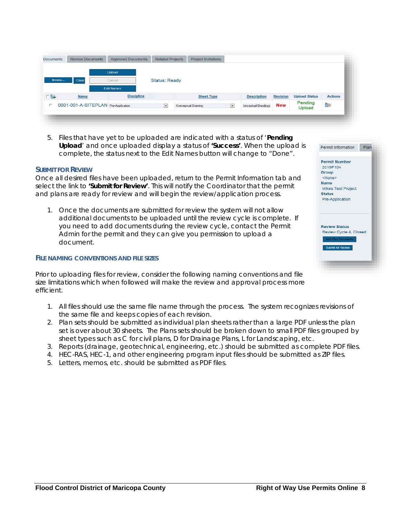| <b>Documents</b> | <b>Review Documents</b> | <b>Approved Documents</b> | <b>Related Projects</b> | <b>Project Invitations</b> |                    |                 |                      |                |
|------------------|-------------------------|---------------------------|-------------------------|----------------------------|--------------------|-----------------|----------------------|----------------|
| Browse           | Clear                   | Upload<br>Cancel          | <b>Status: Ready</b>    |                            |                    |                 |                      |                |
|                  |                         | <b>Edit Names</b>         |                         |                            |                    |                 |                      |                |
|                  | <b>Name</b>             | <b>Discipline</b>         |                         | <b>Sheet Type</b>          | <b>Description</b> | <b>Revision</b> | <b>Upload Status</b> | <b>Actions</b> |
| FB               |                         |                           |                         |                            |                    |                 |                      |                |

5. Files that have yet to be uploaded are indicated with a status of '**Pending Upload**' and once uploaded display a status of **'Success'**. When the upload is complete, the status next to the Edit Names button will change to "Done".

#### <span id="page-7-0"></span>**SUBMIT FOR REVIEW**

Once all desired files have been uploaded, return to the Permit Information tab and select the link to **'Submit for Review'**. This will notify the Coordinator that the permit and plans are ready for review and will begin the review/application process.

1. Once the documents are submitted for review the system will not allow additional documents to be uploaded until the review cycle is complete. If you need to add documents during the review cycle, contact the Permit Admin for the permit and they can give you permission to upload a document.

#### **FILE NAMING CONVENTIONS AND FILE SIZES**

Prior to uploading files for review, consider the following naming conventions and file size limitations which when followed will make the review and approval process more efficient.

- 1. All files should use the same file name through the process. The system recognizes revisions of the same file and keeps copies of each revision.
- 2. Plan sets should be submitted as individual plan sheets rather than a large PDF unless the plan set is over about 30 sheets. The Plans sets should be broken down to small PDF files grouped by sheet types such as C for civil plans, D for Drainage Plans, L for Landscaping, etc.
- 3. Reports (drainage, geotechnical, engineering, etc.) should be submitted as complete PDF files.
- 4. HEC-RAS, HEC-1, and other engineering program input files should be submitted as ZIP files.
- 5. Letters, memos, etc. should be submitted as PDF files.

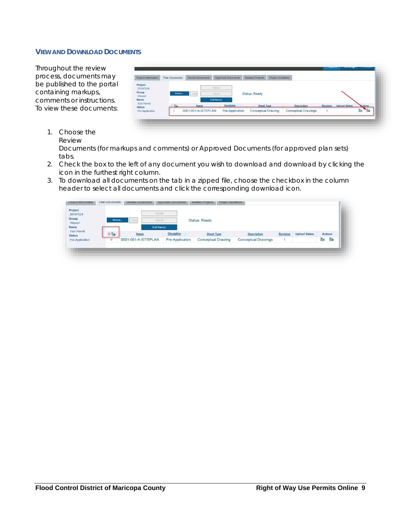#### <span id="page-8-0"></span>**VIEW AND DOWNLOAD DOCUMENTS**

Throughout the review process, documents may be published to the portal containing markups, comments or instructions. To view these documents:

| Project Information                                    | <b>Plan Documents</b> | <b>Review Documents</b> | <b>Approved Documents</b>             | <b>Related Projects</b>   | Project Invitations        |          |                      |         |
|--------------------------------------------------------|-----------------------|-------------------------|---------------------------------------|---------------------------|----------------------------|----------|----------------------|---------|
| Project<br>2016P224<br>Group<br><none><br/>Name</none> | Browse                | $-1$ Clear              | Upload<br>Cancel<br><b>Edit Names</b> | <b>Status: Ready</b>      |                            |          |                      |         |
| <b>Test Permit</b><br><b>Status</b>                    | <b>FBL</b>            | Name                    | <b>Discipline</b>                     | <b>Sheet Type</b>         | <b>Description</b>         | Revision | <b>Upload Status</b> | Actions |
| Pre-Application                                        | $\sim$                | 0001-001-A-SITEPLAN     | Pre-Application                       | <b>Conceptual Drawing</b> | <b>Conceptual Drawings</b> |          |                      | Bx      |

1. Choose the Review

Documents (for markups and comments) or Approved Documents (for approved plan sets) tabs.

- 2. Check the box to the left of any document you wish to download and download by clicking the icon in the furthest right column.
- 3. To download all documents on the tab in a zipped file, choose the checkbox in the column header to select all documents and click the corresponding download icon.

| 2016P224<br>Group<br><none><br/>Name</none> | Browse                  | Upload<br>Clear<br>Cancel<br><b>Edit Names</b> |                   | <b>Status: Ready</b>      |                            |                 |                      |                |  |
|---------------------------------------------|-------------------------|------------------------------------------------|-------------------|---------------------------|----------------------------|-----------------|----------------------|----------------|--|
| <b>Test Permit</b><br><b>Status</b>         | EL                      | Name                                           | <b>Discipline</b> | <b>Sheet Type</b>         | <b>Description</b>         | <b>Revision</b> | <b>Upload Status</b> | <b>Actions</b> |  |
| Pre-Application                             | $\overline{\mathbf{v}}$ | 0001-001-A-SITEPLAN                            | Pre-Application   | <b>Conceptual Drawing</b> | <b>Conceptual Drawings</b> |                 |                      | ₽<br>Ex        |  |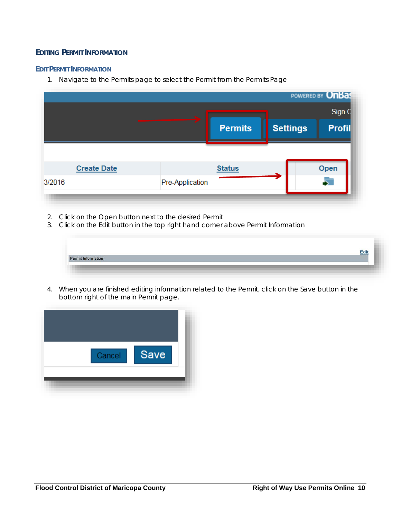### <span id="page-9-0"></span>**EDITING PERMIT INFORMATION**

#### <span id="page-9-1"></span>**EDIT PERMIT INFORMATION**

1. Navigate to the Permits page to select the Permit from the Permits Page

|                    |                 | POWERED BY <b>OnBas</b> |                 |  |               |  |
|--------------------|-----------------|-------------------------|-----------------|--|---------------|--|
|                    |                 | Sign C                  |                 |  |               |  |
|                    |                 | <b>Permits</b>          | <b>Settings</b> |  | <b>Profil</b> |  |
|                    |                 |                         |                 |  |               |  |
| <b>Create Date</b> |                 | <b>Status</b>           |                 |  | Open          |  |
| 3/2016             | Pre-Application |                         |                 |  |               |  |

- 2. Click on the Open button next to the desired Permit
- 3. Click on the Edit button in the top right hand corner above Permit Information

|                    | Edit |
|--------------------|------|
| Permit Information |      |
|                    |      |

4. When you are finished editing information related to the Permit, click on the Save button in the bottom right of the main Permit page.

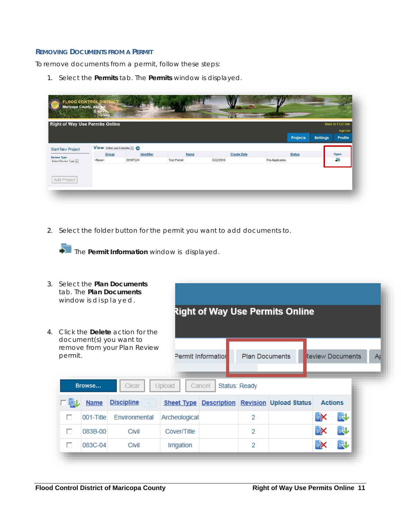#### <span id="page-10-0"></span>**REMOVING DOCUMENTS FROM A PERMIT**

To remove documents from a permit, follow these steps:

1. Select the **Permits** tab. The **Permits** window is displayed.

|                          | <b>Right of Way Use Permits Online</b> |            |                    |                    |                 |                 |                 | Back to FCD Site    |
|--------------------------|----------------------------------------|------------|--------------------|--------------------|-----------------|-----------------|-----------------|---------------------|
|                          |                                        |            |                    |                    |                 | <b>Projects</b> | <b>Settings</b> | Sign Out<br>Profile |
| <b>Start New Project</b> | View Within Last 6 Months - O          |            |                    |                    |                 |                 |                 |                     |
| <b>Review Type</b>       | Group                                  | Identifier | Name               | <b>Create Date</b> |                 | <b>Status</b>   |                 | Open                |
| Select Review Type       | <none></none>                          | 2016P224   | <b>Test Permit</b> | 6/22/2016          | Pre-Application |                 |                 | 霾                   |
|                          |                                        |            |                    |                    |                 |                 |                 |                     |

2. Select the folder button for the permit you want to add documents to.

The **Permit Information** window is displayed.

| 3. |         | window is displayed. | Select the Plan Documents<br>tab. The Plan Documents                                                       |               |                                                      |                       | Right of Way Use Permits Online |                         |    |
|----|---------|----------------------|------------------------------------------------------------------------------------------------------------|---------------|------------------------------------------------------|-----------------------|---------------------------------|-------------------------|----|
| 4. | permit. | Browse               | Click the <b>Delete</b> action for the<br>document(s) you want to<br>remove from your Plan Review<br>Clear | Upload        | <b>Permit Information</b><br>Cancel<br>Status: Ready | <b>Plan Documents</b> |                                 | <b>Review Documents</b> | Ar |
|    |         | <b>Name</b>          | <b>Discipline</b>                                                                                          |               | <b>Sheet Type Description</b>                        |                       | <b>Revision Upload Status</b>   | <b>Actions</b>          |    |
|    | п       | 001-Title            | Environmental                                                                                              | Archeological |                                                      | $\overline{2}$        |                                 | 良<br>EX                 |    |
|    | г       | 083B-00              | Civil                                                                                                      | Cover/Title   |                                                      | 2                     |                                 | 臥<br>EX                 |    |
|    | п       | 083C-04              | Civil                                                                                                      | Irrigation    |                                                      | 2                     |                                 | 良<br>EX                 |    |
|    |         |                      |                                                                                                            |               |                                                      |                       |                                 |                         |    |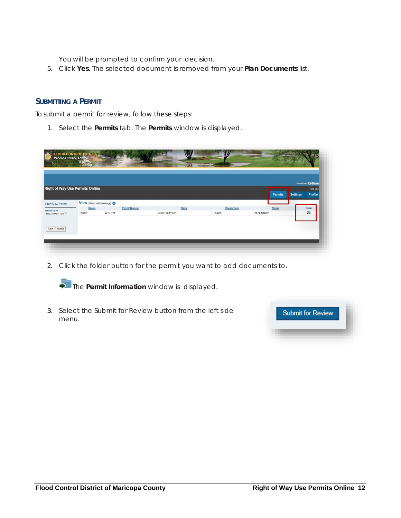You will be prompted to confirm your decision.

5. Click **Yes**. The selected document is removed from your **Plan Documents** list.

#### <span id="page-11-0"></span>**SUBMITTING A PERMIT**

To submit a permit for review, follow these steps:

1. Select the **Permits** tab. The **Permits** window is displayed.

|                         |                                        |          |                      |                    |           |                    |                 |                |                 | POWERED BY OnBase          |
|-------------------------|----------------------------------------|----------|----------------------|--------------------|-----------|--------------------|-----------------|----------------|-----------------|----------------------------|
|                         | <b>Right of Way Use Permits Online</b> |          |                      |                    |           |                    |                 | <b>Permits</b> | <b>Settings</b> | Sign Out<br><b>Profile</b> |
| <b>Start New Permit</b> | View within Last 6 Months v            |          |                      |                    |           |                    |                 |                |                 |                            |
|                         | Group                                  |          | <b>Permit Number</b> |                    | Name      | <b>Create Date</b> |                 | <b>Status</b>  |                 | Open                       |
| Select Review Type      | <none></none>                          | 2016P104 |                      | Mikes Test Project | 7/13/2016 |                    | Pre-Application |                |                 | 蟲                          |

2. Click the folder button for the permit you want to add documents to.



3. Select the Submit for Review button from the left side menu.

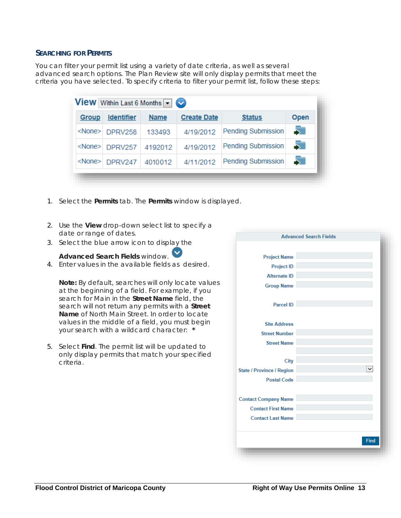#### <span id="page-12-0"></span>**SEARCHING FOR PERMITS**

You can filter your permit list using a variety of date criteria, as well as several advanced search options. The Plan Review site will only display permits that meet the criteria you have selected. To specify criteria to filter your permit list, follow these steps:

| Group        | <b>Identifier</b>     | <b>Name</b> | <b>Create Date</b> | <b>Status</b>             | <b>Open</b> |
|--------------|-----------------------|-------------|--------------------|---------------------------|-------------|
|              | <none> DPRV258</none> | 133493      | 4/19/2012          | <b>Pending Submission</b> | 51          |
|              | <none> DPRV257</none> | 4192012     | 4/19/2012          | <b>Pending Submission</b> | 5           |
| $<$ None $>$ | DPRV247               | 4010012     | 4/11/2012          | <b>Pending Submission</b> | 51          |

- 1. Select the **Permits** tab. The **Permits** window is displayed.
- 2. Use the **View** drop-down select list to specify a date or range of dates.
- 3. Select the blue arrow icon to display the

### **Advanced Search Fields** window.

4. Enter values in the available fields as desired.

**Note:** By default, searches will only locate values at the beginning of a field. For example, if you search for Main in the **Street Name** field, the search will not return any permits with a **Street Name** of North Main Street. In order to locate values in the middle of a field, you must begin your search with a wildcard character: **\***

5. Select **Find**. The permit list will be updated to only display permits that match your specified criteria.

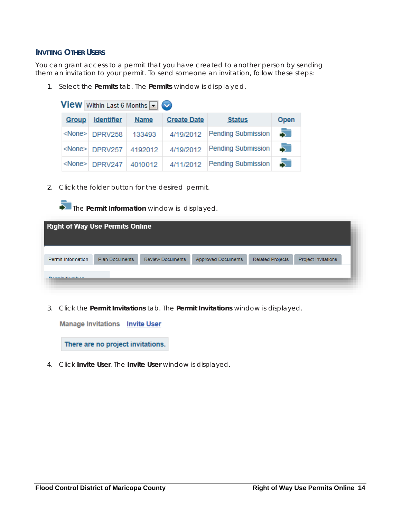#### <span id="page-13-0"></span>**INVITING OTHER USERS**

You can grant access to a permit that you have created to another person by sending them an invitation to your permit. To send someone an invitation, follow these steps:

1. Select the **Permits** tab. The **Permits** window is displayed.

|              | <b>View</b> Within Last 6 Months $\blacksquare$ |             |                    |                              |      |
|--------------|-------------------------------------------------|-------------|--------------------|------------------------------|------|
| <b>Group</b> | <b>Identifier</b>                               | <b>Name</b> | <b>Create Date</b> | <b>Status</b>                | Open |
|              | <none> DPRV258</none>                           | 133493      |                    | 4/19/2012 Pending Submission |      |
|              | <none> DPRV257 4192012</none>                   |             | 4/19/2012          | Pending Submission           |      |
|              | <none> DPRV247 4010012</none>                   |             | 4/11/2012          | <b>Pending Submission</b>    | -57  |

2. Click the folder button for the desired permit.



| <b>Right of Way Use Permits Online</b> |                       |                         |                           |                         |                            |
|----------------------------------------|-----------------------|-------------------------|---------------------------|-------------------------|----------------------------|
| <b>Permit Information</b>              | <b>Plan Documents</b> | <b>Review Documents</b> | <b>Approved Documents</b> | <b>Related Projects</b> | <b>Project Invitations</b> |
| Philadelphia (A. A. Fernando), a co-   |                       |                         |                           |                         |                            |

3. Click the **Permit Invitations** tab. The **Permit Invitations** window is displayed.

**Manage Invitations Invite User** 

There are no project invitations.

4. Click **Invite User**. The **Invite User** window is displayed.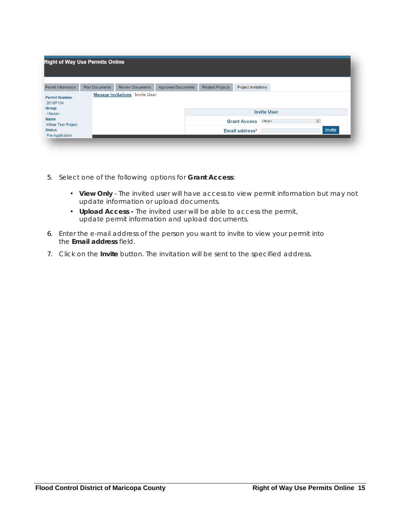| <b>Right of Way Use Permits Online</b>                     |                       |                                       |                           |                         |                            |                    |                      |        |
|------------------------------------------------------------|-----------------------|---------------------------------------|---------------------------|-------------------------|----------------------------|--------------------|----------------------|--------|
| <b>Permit Information</b>                                  | <b>Plan Documents</b> | <b>Review Documents</b>               | <b>Approved Documents</b> | <b>Related Projects</b> | <b>Project Invitations</b> |                    |                      |        |
| <b>Permit Number</b><br>2016P104<br>Group<br><none></none> |                       | <b>Manage Invitations</b> Invite User |                           |                         |                            | <b>Invite User</b> |                      |        |
| <b>Name</b><br><b>Mikes Test Project</b>                   |                       |                                       |                           |                         | <b>Grant Access</b>        | <none></none>      | $\blacktriangledown$ |        |
| <b>Status</b><br>Pre-Application                           |                       |                                       |                           |                         | Email address*             |                    |                      | Invite |

- 5. Select one of the following options for **Grant Access**:
	- **View Only** The invited user will have access to view permit information but may not update information or upload documents.
	- **Upload Access -** The invited user will be able to access the permit, update permit information and upload documents.
- 6. Enter the e-mail address of the person you want to invite to view your permit into the **Email address** field.
- 7. Click on the **Invite** button. The invitation will be sent to the specified address.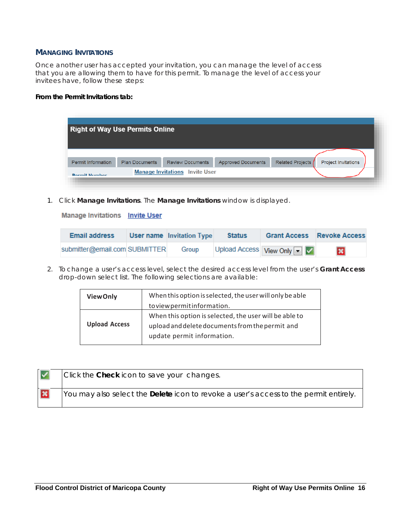#### <span id="page-15-0"></span>**MANAGING INVITATIONS**

Once another user has accepted your invitation, you can manage the level of access that you are allowing them to have for this permit. To manage the level of access your invitees have, follow these steps:

#### **From the Permit Invitations tab:**

|                           | <b>Right of Way Use Permits Online</b> |                         |                           |                    |                            |
|---------------------------|----------------------------------------|-------------------------|---------------------------|--------------------|----------------------------|
|                           |                                        |                         |                           |                    |                            |
|                           |                                        |                         |                           |                    |                            |
| <b>Permit Information</b> | <b>Plan Documents</b>                  | <b>Review Documents</b> | <b>Approved Documents</b> | Related Projects / | <b>Project Invitations</b> |
| <b>Dormit Number</b>      | <b>Manage Invitations</b>              | <b>Invite User</b>      |                           |                    |                            |

1. Click **Manage Invitations**. The **Manage Invitations** window is displayed.

**Manage Invitations Invite User** 

| <b>Email address</b>          | <b>User name Invitation Type</b> | <b>Status</b> |                           | <b>Grant Access Revoke Access</b> |
|-------------------------------|----------------------------------|---------------|---------------------------|-----------------------------------|
| submitter@email.com SUBMITTER | Group                            |               | Upload Access View Only V | $\infty$                          |

2. To change a user's access level, select the desired access level from the user's **Grant Access**  drop-down select list. The following selections are available:

| <b>View Only</b>     | When this option is selected, the user will only be able                                                                                |
|----------------------|-----------------------------------------------------------------------------------------------------------------------------------------|
|                      | to view permit information.                                                                                                             |
| <b>Upload Access</b> | When this option is selected, the user will be able to<br>upload and delete documents from the permit and<br>update permit information. |

| $\overline{\mathsf{v}}$ | Click the Check icon to save your changes.                                                   |
|-------------------------|----------------------------------------------------------------------------------------------|
| $\overline{\mathbf{x}}$ | You may also select the <b>Delete</b> icon to revoke a user's access to the permit entirely. |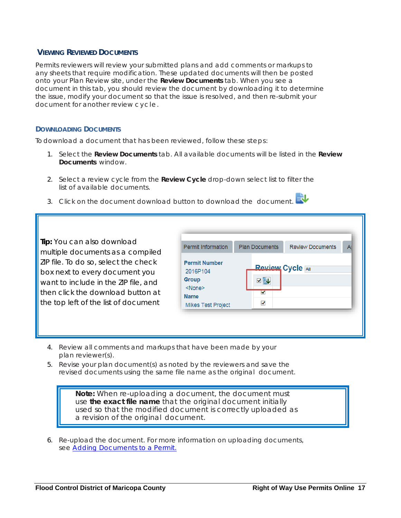#### <span id="page-16-0"></span>**VIEWING REVIEWED DOCUMENTS**

Permits reviewers will review your submitted plans and add comments or markups to any sheets that require modification. These updated documents will then be posted onto your Plan Review site, under the **Review Documents** tab. When you see a document in this tab, you should review the document by downloading it to determine the issue, modify your document so that the issue is resolved, and then re-submit your document for another review cycle.

#### <span id="page-16-1"></span>**DOWNLOADING DOCUMENTS**

To download a document that has been reviewed, follow these steps:

- 1. Select the **Review Documents** tab. All available documents will be listed in the **Review Documents** window.
- 2. Select a review cycle from the **Review Cycle** drop-down select list to filter the list of available documents.
- 3. Click on the document download button to download the document.

**Tip:** You can also download multiple documents as a compiled ZIP file. To do so, select the check box next to every document you want to include in the ZIP file, and then click the download button at the top left of the list of document

| <b>Permit Information</b>                                                                                       | <b>Plan Documents</b>             | <b>Review Documents</b> |  |
|-----------------------------------------------------------------------------------------------------------------|-----------------------------------|-------------------------|--|
| <b>Permit Number</b><br>2016P104<br><b>Group</b><br><none><br/><b>Name</b><br/><b>Mikes Test Project</b></none> | <b>Review Cycle All</b><br>√<br>√ |                         |  |

- 4. Review all comments and markups that have been made by your plan reviewer(s).
- 5. Revise your plan document(s) as noted by the reviewers and save the revised documents using the same file name as the original document.

**Note:** When re-uploading a document, the document must use *the exact file name* that the original document initially used so that the modified document is correctly uploaded as a revision of the original document.

6. Re-upload the document. For more information on uploading documents, see [Adding Documents to a Permit.](#page-9-1)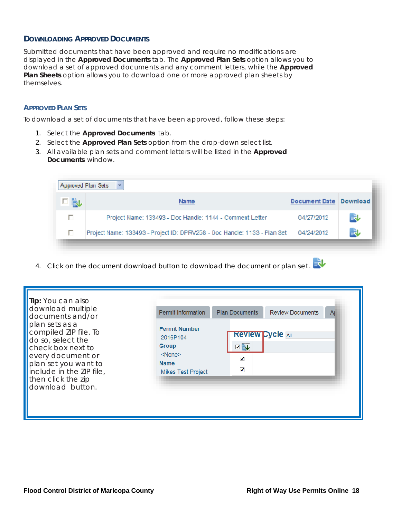### <span id="page-17-0"></span>**DOWNLOADING APPROVED DOCUMENTS**

Submitted documents that have been approved and require no modifications are displayed in the **Approved Documents** tab. The **Approved Plan Sets** option allows you to download a set of approved documents and any comment letters, while the **Approved Plan Sheets** option allows you to download one or more approved plan sheets by themselves.

#### <span id="page-17-1"></span>**APPROVED PLAN SETS**

To download a set of documents that have been approved, follow these steps:

- 1. Select the **Approved Documents** tab.
- 2. Select the **Approved Plan Sets** option from the drop-down select list.
- 3. All available plan sets and comment letters will be listed in the **Approved Documents** window.

|     | Approved Plan Sets                                                                  |                      |          |
|-----|-------------------------------------------------------------------------------------|----------------------|----------|
| 口職し | Name                                                                                | <b>Document Date</b> | Download |
| П   | Project Name: 133493 - Doc Handle: 1144 - Comment Letter                            | 04/27/2012           | 良        |
| п   | Project Name: 133493 - Project ID: DPRV258 - Doc Handle: 1133 - Plan Set 04/24/2012 |                      | 良        |

4. Click on the document download button to download the document or plan set.

| Tip: You can also<br>download multiple<br>documents and/or<br>plan sets as a                                                                                                       | <b>Permit Information</b>                                                                             | <b>Plan Documents</b><br><b>Review Documents</b><br>$\mathsf{A}$ |
|------------------------------------------------------------------------------------------------------------------------------------------------------------------------------------|-------------------------------------------------------------------------------------------------------|------------------------------------------------------------------|
| compiled ZIP file. To<br>do so, select the<br>check box next to<br>every document or<br>plan set you want to<br>include in the ZIP file,<br>then click the zip<br>download button. | <b>Permit Number</b><br>2016P104<br>Group<br>$<$ None $>$<br><b>Name</b><br><b>Mikes Test Project</b> | <b>Review Cycle All</b><br>VIL<br>✓<br>√                         |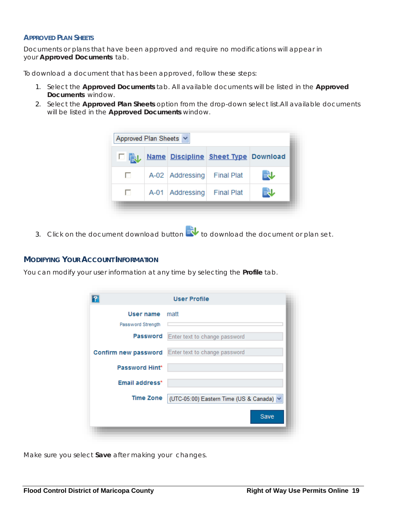#### <span id="page-18-0"></span>**APPROVED PLAN SHEETS**

Documents or plans that have been approved and require no modifications will appear in your **Approved Documents** tab.

To download a document that has been approved, follow these steps:

- 1. Select the **Approved Documents** tab. All available documents will be listed in the **Approved Documents** window.
- 2. Select the **Approved Plan Sheets** option from the drop-down select list.All available documents will be listed in the **Approved Documents** window.



3. Click on the document download button  $\mathbb{R}^{\bullet}$  to download the document or plan set.

#### <span id="page-18-1"></span>**MODIFYING YOUR ACCOUNT INFORMATION**

You can modify your user information at any time by selecting the **Profile** tab.

| User name matt<br>Password Strength<br>Password<br>Enter text to change password<br><b>Confirm new password</b> Enter text to change password<br><b>Password Hint*</b><br>Email address*<br>Time Zone | ? | <b>User Profile</b>                      |
|-------------------------------------------------------------------------------------------------------------------------------------------------------------------------------------------------------|---|------------------------------------------|
|                                                                                                                                                                                                       |   |                                          |
|                                                                                                                                                                                                       |   |                                          |
|                                                                                                                                                                                                       |   |                                          |
|                                                                                                                                                                                                       |   |                                          |
|                                                                                                                                                                                                       |   |                                          |
|                                                                                                                                                                                                       |   |                                          |
|                                                                                                                                                                                                       |   | (UTC-05:00) Eastern Time (US & Canada) V |
| Save                                                                                                                                                                                                  |   |                                          |

Make sure you select **Save** after making your changes.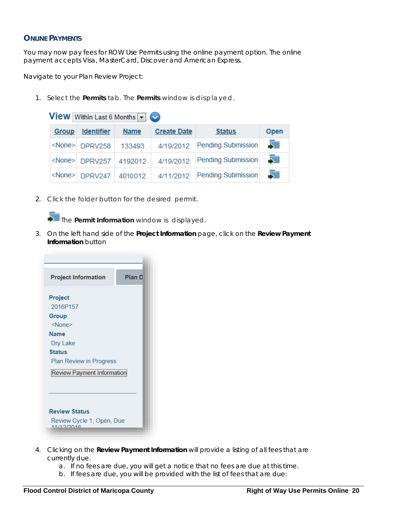#### <span id="page-19-0"></span>**ONLINE PAYMENTS**

You may now pay fees for ROW Use Permits using the online payment option. The online payment accepts Visa, MasterCard, Discover and American Express.

Navigate to your Plan Review Project:

1. Select the **Permits** tab. The **Permits** window is displayed.

|              | <b>View</b> Within Last 6 Months $\blacksquare$ |             |                    |                    |      |
|--------------|-------------------------------------------------|-------------|--------------------|--------------------|------|
| <b>Group</b> | <b>Identifier</b>                               | <b>Name</b> | <b>Create Date</b> | <b>Status</b>      | Open |
|              | <none> DPRV258</none>                           | 133493      | 4/19/2012          | Pending Submission | 51   |
|              | <none> DPRV257 4192012</none>                   |             | 4/19/2012          | Pending Submission | 51   |
|              | <none> DPRV247 4010012</none>                   |             | 4/11/2012          | Pending Submission | 51   |

2. Click the folder button for the desired permit.

The **Permit Information** window is displayed.

3. On the left hand side of the **Project Information** page, click on the **Review Payment Information** button

| <b>Project Information</b>              | Plan D |
|-----------------------------------------|--------|
| Project                                 |        |
| 2016P157                                |        |
| Group                                   |        |
| <none></none>                           |        |
| Name                                    |        |
| Dry Lake                                |        |
| <b>Status</b>                           |        |
| Plan Review in Progress                 |        |
| <b>Review Payment Information</b>       |        |
|                                         |        |
| <b>Review Status</b>                    |        |
| Review Cycle 1, Open, Due<br>11/10/0016 |        |

- 4. Clicking on the **Review Payment Information** will provide a listing of all fees that are currently due.
	- a. If no fees are due, you will get a notice that no fees are due at this time.
	- b. If fees are due, you will be provided with the list of fees that are due: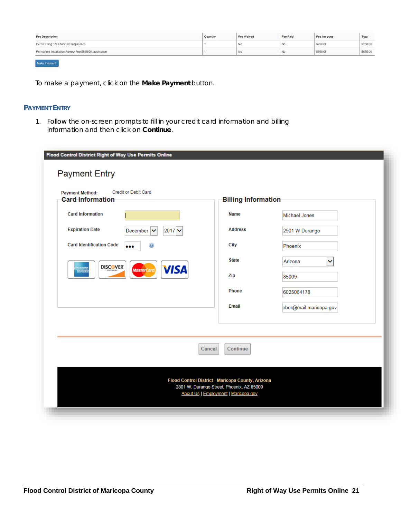| <b>Fee Description</b>                                  | Quantity | Fee Waived | Fee Paid | Fee Amount | Total    |
|---------------------------------------------------------|----------|------------|----------|------------|----------|
| Permit Filing Fees \$250.00 /application                |          | No         | No       | \$250.00   | \$250.00 |
| Permanent Installation Review Fee \$650.00 /application |          | No         | No       | \$650.00   | \$650.00 |
| Make Payment                                            |          |            |          |            |          |

To make a payment, click on the **Make Payment** button.

#### <span id="page-20-0"></span>**PAYMENT ENTRY**

1. Follow the on-screen prompts to fill in your credit card information and billing information and then click on **Continue**.

| <b>Credit or Debit Card</b><br><b>Payment Method:</b><br><b>Card Information</b>      | <b>Billing Information</b> |                        |  |  |  |
|---------------------------------------------------------------------------------------|----------------------------|------------------------|--|--|--|
| <b>Card Information</b>                                                               | <b>Name</b>                | <b>Michael Jones</b>   |  |  |  |
| <b>Expiration Date</b><br>$2017$ $\vee$<br>December V                                 | <b>Address</b>             | 2901 W Durango         |  |  |  |
| <b>Card Identification Code</b><br>                                                   | <b>City</b>                | Phoenix                |  |  |  |
| <b>State</b><br>Arizona<br>$\checkmark$                                               |                            |                        |  |  |  |
| <b>DISCOVER</b><br><b>VISA</b><br><b>ERICAN</b><br><b>MasterCard</b><br><b>DONE B</b> | Zip                        | 85009                  |  |  |  |
|                                                                                       | <b>Phone</b>               | 6025064178             |  |  |  |
|                                                                                       | Email                      | eber@mail.maricopa.gov |  |  |  |
|                                                                                       | Cancel<br>Continue         |                        |  |  |  |